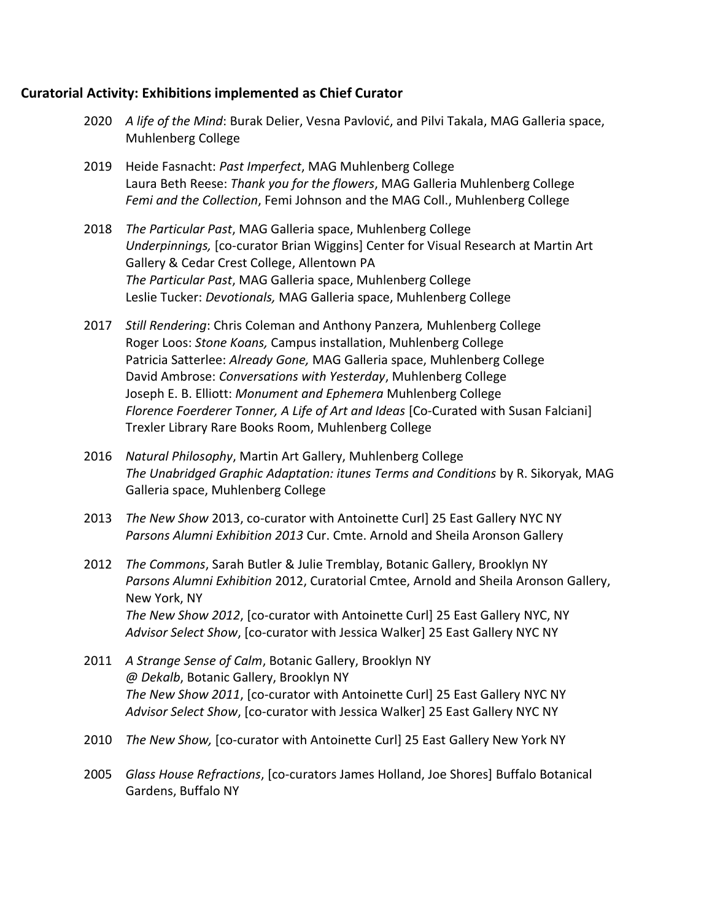## **Curatorial Activity: Exhibitions implemented as Chief Curator**

- 2020 *A life of the Mind*: Burak Delier, Vesna Pavlović, and Pilvi Takala, MAG Galleria space, Muhlenberg College
- 2019 Heide Fasnacht: *Past Imperfect*, MAG Muhlenberg College Laura Beth Reese: *Thank you for the flowers*, MAG Galleria Muhlenberg College *Femi and the Collection*, Femi Johnson and the MAG Coll., Muhlenberg College
- 2018 *The Particular Past*, MAG Galleria space, Muhlenberg College *Underpinnings,* [co-curator Brian Wiggins] Center for Visual Research at Martin Art Gallery & Cedar Crest College, Allentown PA *The Particular Past*, MAG Galleria space, Muhlenberg College Leslie Tucker: *Devotionals,* MAG Galleria space, Muhlenberg College
- 2017 *Still Rendering*: Chris Coleman and Anthony Panzera*,* Muhlenberg College Roger Loos: *Stone Koans,* Campus installation, Muhlenberg College Patricia Satterlee: *Already Gone,* MAG Galleria space, Muhlenberg College David Ambrose: *Conversations with Yesterday*, Muhlenberg College Joseph E. B. Elliott: *Monument and Ephemera* Muhlenberg College Florence Foerderer Tonner, A Life of Art and Ideas [Co-Curated with Susan Falciani] Trexler Library Rare Books Room, Muhlenberg College
- 2016 *Natural Philosophy*, Martin Art Gallery, Muhlenberg College *The Unabridged Graphic Adaptation: itunes Terms and Conditions* by R. Sikoryak, MAG Galleria space, Muhlenberg College
- 2013 *The New Show* 2013, co-curator with Antoinette Curl] 25 East Gallery NYC NY *Parsons Alumni Exhibition 2013* Cur. Cmte. Arnold and Sheila Aronson Gallery
- 2012 *The Commons*, Sarah Butler & Julie Tremblay, Botanic Gallery, Brooklyn NY *Parsons Alumni Exhibition* 2012, Curatorial Cmtee, Arnold and Sheila Aronson Gallery, New York, NY *The New Show 2012*, [co-curator with Antoinette Curl] 25 East Gallery NYC, NY *Advisor Select Show*, [co-curator with Jessica Walker] 25 East Gallery NYC NY
- 2011 *A Strange Sense of Calm*, Botanic Gallery, Brooklyn NY *@ Dekalb*, Botanic Gallery, Brooklyn NY *The New Show 2011*, [co-curator with Antoinette Curl] 25 East Gallery NYC NY *Advisor Select Show*, [co-curator with Jessica Walker] 25 East Gallery NYC NY
- 2010 *The New Show,* [co-curator with Antoinette Curl] 25 East Gallery New York NY
- 2005 *Glass House Refractions*, [co-curators James Holland, Joe Shores] Buffalo Botanical Gardens, Buffalo NY